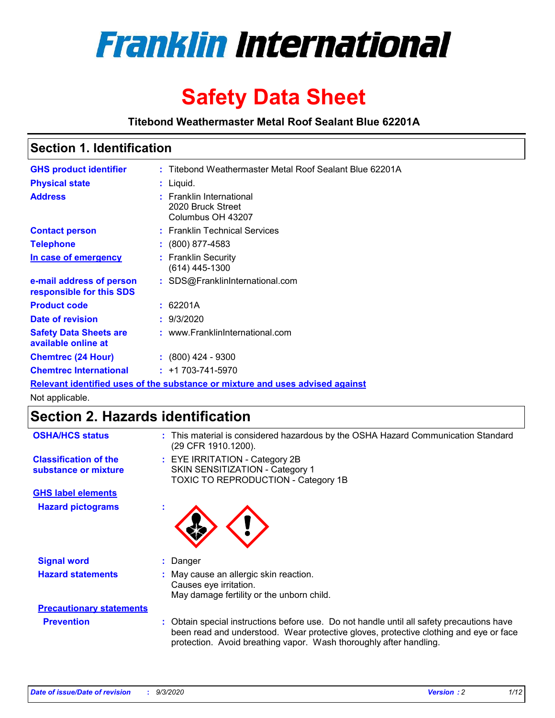

# **Safety Data Sheet**

**Titebond Weathermaster Metal Roof Sealant Blue 62201A**

### **Section 1. Identification**

| <b>GHS product identifier</b>                                                 |  | : Titebond Weathermaster Metal Roof Sealant Blue 62201A            |  |  |
|-------------------------------------------------------------------------------|--|--------------------------------------------------------------------|--|--|
| <b>Physical state</b>                                                         |  | : Liquid.                                                          |  |  |
| <b>Address</b>                                                                |  | : Franklin International<br>2020 Bruck Street<br>Columbus OH 43207 |  |  |
| <b>Contact person</b>                                                         |  | : Franklin Technical Services                                      |  |  |
| <b>Telephone</b>                                                              |  | $: (800) 877-4583$                                                 |  |  |
| In case of emergency                                                          |  | : Franklin Security<br>(614) 445-1300                              |  |  |
| e-mail address of person<br>responsible for this SDS                          |  | : SDS@FranklinInternational.com                                    |  |  |
| <b>Product code</b>                                                           |  | : 62201A                                                           |  |  |
| Date of revision                                                              |  | : 9/3/2020                                                         |  |  |
| <b>Safety Data Sheets are</b><br>available online at                          |  | : www.FranklinInternational.com                                    |  |  |
| <b>Chemtrec (24 Hour)</b>                                                     |  | $: (800)$ 424 - 9300                                               |  |  |
| <b>Chemtrec International</b>                                                 |  | $: +1703 - 741 - 5970$                                             |  |  |
| Relevant identified uses of the substance or mixture and uses advised against |  |                                                                    |  |  |

Not applicable.

# **Section 2. Hazards identification**

| <b>OSHA/HCS status</b>                               |    | : This material is considered hazardous by the OSHA Hazard Communication Standard<br>(29 CFR 1910.1200).                                                                                                                                                 |
|------------------------------------------------------|----|----------------------------------------------------------------------------------------------------------------------------------------------------------------------------------------------------------------------------------------------------------|
| <b>Classification of the</b><br>substance or mixture |    | : EYE IRRITATION - Category 2B<br>SKIN SENSITIZATION - Category 1<br>TOXIC TO REPRODUCTION - Category 1B                                                                                                                                                 |
| <b>GHS label elements</b>                            |    |                                                                                                                                                                                                                                                          |
| <b>Hazard pictograms</b>                             | ×. |                                                                                                                                                                                                                                                          |
| <b>Signal word</b>                                   | ÷. | Danger                                                                                                                                                                                                                                                   |
| <b>Hazard statements</b>                             |    | May cause an allergic skin reaction.<br>Causes eye irritation.<br>May damage fertility or the unborn child.                                                                                                                                              |
| <b>Precautionary statements</b>                      |    |                                                                                                                                                                                                                                                          |
| <b>Prevention</b>                                    |    | : Obtain special instructions before use. Do not handle until all safety precautions have<br>been read and understood. Wear protective gloves, protective clothing and eye or face<br>protection. Avoid breathing vapor. Wash thoroughly after handling. |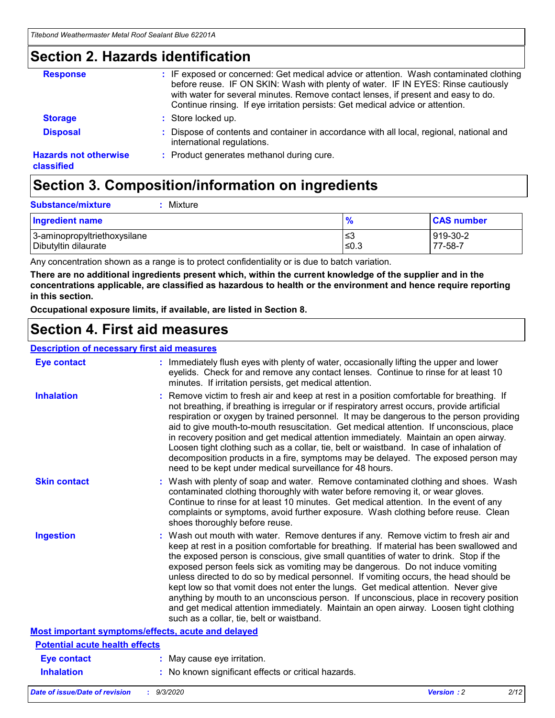### **Section 2. Hazards identification**

| <b>Response</b>                            | : IF exposed or concerned: Get medical advice or attention. Wash contaminated clothing<br>before reuse. IF ON SKIN: Wash with plenty of water. IF IN EYES: Rinse cautiously<br>with water for several minutes. Remove contact lenses, if present and easy to do.<br>Continue rinsing. If eye irritation persists: Get medical advice or attention. |
|--------------------------------------------|----------------------------------------------------------------------------------------------------------------------------------------------------------------------------------------------------------------------------------------------------------------------------------------------------------------------------------------------------|
| <b>Storage</b>                             | : Store locked up.                                                                                                                                                                                                                                                                                                                                 |
| <b>Disposal</b>                            | : Dispose of contents and container in accordance with all local, regional, national and<br>international regulations.                                                                                                                                                                                                                             |
| <b>Hazards not otherwise</b><br>classified | : Product generates methanol during cure.                                                                                                                                                                                                                                                                                                          |

# **Section 3. Composition/information on ingredients**

| <b>Substance/mixture</b> | Mixture |
|--------------------------|---------|
|                          |         |

| <b>Ingredient name</b>       | $\frac{9}{6}$ | <b>CAS number</b> |
|------------------------------|---------------|-------------------|
| 3-aminopropyltriethoxysilane | ≤3            | 919-30-2          |
| Dibutyltin dilaurate         | ∣≤0.3         | 77-58-7           |

Any concentration shown as a range is to protect confidentiality or is due to batch variation.

**There are no additional ingredients present which, within the current knowledge of the supplier and in the concentrations applicable, are classified as hazardous to health or the environment and hence require reporting in this section.**

**Occupational exposure limits, if available, are listed in Section 8.**

### **Section 4. First aid measures**

| <b>Description of necessary first aid measures</b> |                                                                                                                                                                                                                                                                                                                                                                                                                                                                                                                                                                                                                                                                                                                                                                           |
|----------------------------------------------------|---------------------------------------------------------------------------------------------------------------------------------------------------------------------------------------------------------------------------------------------------------------------------------------------------------------------------------------------------------------------------------------------------------------------------------------------------------------------------------------------------------------------------------------------------------------------------------------------------------------------------------------------------------------------------------------------------------------------------------------------------------------------------|
| <b>Eye contact</b>                                 | : Immediately flush eyes with plenty of water, occasionally lifting the upper and lower<br>eyelids. Check for and remove any contact lenses. Continue to rinse for at least 10<br>minutes. If irritation persists, get medical attention.                                                                                                                                                                                                                                                                                                                                                                                                                                                                                                                                 |
| <b>Inhalation</b>                                  | : Remove victim to fresh air and keep at rest in a position comfortable for breathing. If<br>not breathing, if breathing is irregular or if respiratory arrest occurs, provide artificial<br>respiration or oxygen by trained personnel. It may be dangerous to the person providing<br>aid to give mouth-to-mouth resuscitation. Get medical attention. If unconscious, place<br>in recovery position and get medical attention immediately. Maintain an open airway.<br>Loosen tight clothing such as a collar, tie, belt or waistband. In case of inhalation of<br>decomposition products in a fire, symptoms may be delayed. The exposed person may<br>need to be kept under medical surveillance for 48 hours.                                                       |
| <b>Skin contact</b>                                | : Wash with plenty of soap and water. Remove contaminated clothing and shoes. Wash<br>contaminated clothing thoroughly with water before removing it, or wear gloves.<br>Continue to rinse for at least 10 minutes. Get medical attention. In the event of any<br>complaints or symptoms, avoid further exposure. Wash clothing before reuse. Clean<br>shoes thoroughly before reuse.                                                                                                                                                                                                                                                                                                                                                                                     |
| <b>Ingestion</b>                                   | : Wash out mouth with water. Remove dentures if any. Remove victim to fresh air and<br>keep at rest in a position comfortable for breathing. If material has been swallowed and<br>the exposed person is conscious, give small quantities of water to drink. Stop if the<br>exposed person feels sick as vomiting may be dangerous. Do not induce vomiting<br>unless directed to do so by medical personnel. If vomiting occurs, the head should be<br>kept low so that vomit does not enter the lungs. Get medical attention. Never give<br>anything by mouth to an unconscious person. If unconscious, place in recovery position<br>and get medical attention immediately. Maintain an open airway. Loosen tight clothing<br>such as a collar, tie, belt or waistband. |
| Most important symptoms/effects, acute and delayed |                                                                                                                                                                                                                                                                                                                                                                                                                                                                                                                                                                                                                                                                                                                                                                           |
| <b>Potential acute health effects</b>              |                                                                                                                                                                                                                                                                                                                                                                                                                                                                                                                                                                                                                                                                                                                                                                           |
| Eye contact                                        | : May cause eye irritation.                                                                                                                                                                                                                                                                                                                                                                                                                                                                                                                                                                                                                                                                                                                                               |
| <b>Inhalation</b>                                  | : No known significant effects or critical hazards.                                                                                                                                                                                                                                                                                                                                                                                                                                                                                                                                                                                                                                                                                                                       |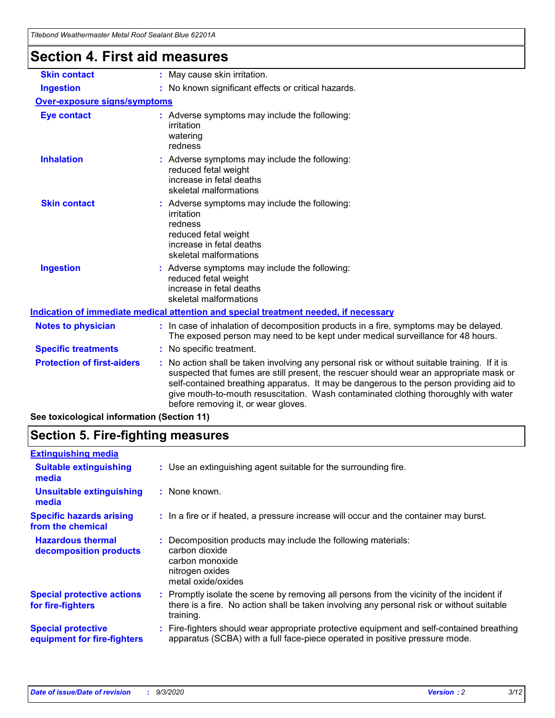| i iteboha weathermaster Metal Roof Sealaht Blue 62201A |                                                                                                                                                                                                                                                                                                                                                                                                               |
|--------------------------------------------------------|---------------------------------------------------------------------------------------------------------------------------------------------------------------------------------------------------------------------------------------------------------------------------------------------------------------------------------------------------------------------------------------------------------------|
| <b>Section 4. First aid measures</b>                   |                                                                                                                                                                                                                                                                                                                                                                                                               |
| <b>Skin contact</b>                                    | : May cause skin irritation.                                                                                                                                                                                                                                                                                                                                                                                  |
| <b>Ingestion</b>                                       | : No known significant effects or critical hazards.                                                                                                                                                                                                                                                                                                                                                           |
| Over-exposure signs/symptoms                           |                                                                                                                                                                                                                                                                                                                                                                                                               |
| <b>Eye contact</b>                                     | : Adverse symptoms may include the following:<br>irritation<br>watering<br>redness                                                                                                                                                                                                                                                                                                                            |
| <b>Inhalation</b>                                      | : Adverse symptoms may include the following:<br>reduced fetal weight<br>increase in fetal deaths<br>skeletal malformations                                                                                                                                                                                                                                                                                   |
| <b>Skin contact</b>                                    | : Adverse symptoms may include the following:<br>irritation<br>redness<br>reduced fetal weight<br>increase in fetal deaths<br>skeletal malformations                                                                                                                                                                                                                                                          |
| <b>Ingestion</b>                                       | Adverse symptoms may include the following:<br>reduced fetal weight<br>increase in fetal deaths<br>skeletal malformations                                                                                                                                                                                                                                                                                     |
|                                                        | Indication of immediate medical attention and special treatment needed, if necessary                                                                                                                                                                                                                                                                                                                          |
| <b>Notes to physician</b>                              | : In case of inhalation of decomposition products in a fire, symptoms may be delayed.<br>The exposed person may need to be kept under medical surveillance for 48 hours.                                                                                                                                                                                                                                      |
| <b>Specific treatments</b>                             | : No specific treatment.                                                                                                                                                                                                                                                                                                                                                                                      |
| <b>Protection of first-aiders</b>                      | No action shall be taken involving any personal risk or without suitable training. If it is<br>suspected that fumes are still present, the rescuer should wear an appropriate mask or<br>self-contained breathing apparatus. It may be dangerous to the person providing aid to<br>give mouth-to-mouth resuscitation. Wash contaminated clothing thoroughly with water<br>before removing it, or wear gloves. |
| See toxicological information (Section 11)             |                                                                                                                                                                                                                                                                                                                                                                                                               |

# **Section 5. Fire-fighting measures**

| <b>Extinguishing media</b>                               |                                                                                                                                                                                                     |
|----------------------------------------------------------|-----------------------------------------------------------------------------------------------------------------------------------------------------------------------------------------------------|
| <b>Suitable extinguishing</b><br>media                   | : Use an extinguishing agent suitable for the surrounding fire.                                                                                                                                     |
| <b>Unsuitable extinguishing</b><br>media                 | : None known.                                                                                                                                                                                       |
| <b>Specific hazards arising</b><br>from the chemical     | : In a fire or if heated, a pressure increase will occur and the container may burst.                                                                                                               |
| <b>Hazardous thermal</b><br>decomposition products       | : Decomposition products may include the following materials:<br>carbon dioxide<br>carbon monoxide<br>nitrogen oxides<br>metal oxide/oxides                                                         |
| <b>Special protective actions</b><br>for fire-fighters   | : Promptly isolate the scene by removing all persons from the vicinity of the incident if<br>there is a fire. No action shall be taken involving any personal risk or without suitable<br>training. |
| <b>Special protective</b><br>equipment for fire-fighters | Fire-fighters should wear appropriate protective equipment and self-contained breathing<br>apparatus (SCBA) with a full face-piece operated in positive pressure mode.                              |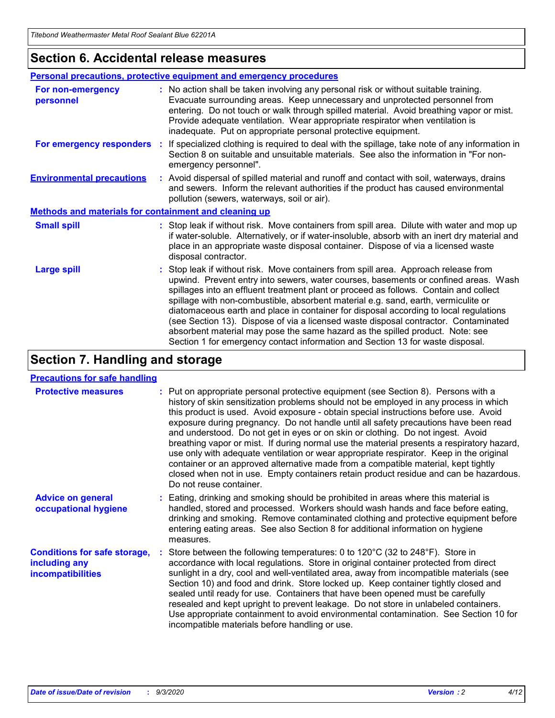### **Section 6. Accidental release measures**

|                                                              | Personal precautions, protective equipment and emergency procedures                                                                                                                                                                                                                                                                                                                                                                                                                                                                                                                                                                                                                                          |  |  |  |  |
|--------------------------------------------------------------|--------------------------------------------------------------------------------------------------------------------------------------------------------------------------------------------------------------------------------------------------------------------------------------------------------------------------------------------------------------------------------------------------------------------------------------------------------------------------------------------------------------------------------------------------------------------------------------------------------------------------------------------------------------------------------------------------------------|--|--|--|--|
| For non-emergency<br>personnel                               | : No action shall be taken involving any personal risk or without suitable training.<br>Evacuate surrounding areas. Keep unnecessary and unprotected personnel from<br>entering. Do not touch or walk through spilled material. Avoid breathing vapor or mist.<br>Provide adequate ventilation. Wear appropriate respirator when ventilation is<br>inadequate. Put on appropriate personal protective equipment.                                                                                                                                                                                                                                                                                             |  |  |  |  |
| For emergency responders                                     | : If specialized clothing is required to deal with the spillage, take note of any information in<br>Section 8 on suitable and unsuitable materials. See also the information in "For non-<br>emergency personnel".                                                                                                                                                                                                                                                                                                                                                                                                                                                                                           |  |  |  |  |
| <b>Environmental precautions</b>                             | : Avoid dispersal of spilled material and runoff and contact with soil, waterways, drains<br>and sewers. Inform the relevant authorities if the product has caused environmental<br>pollution (sewers, waterways, soil or air).                                                                                                                                                                                                                                                                                                                                                                                                                                                                              |  |  |  |  |
| <b>Methods and materials for containment and cleaning up</b> |                                                                                                                                                                                                                                                                                                                                                                                                                                                                                                                                                                                                                                                                                                              |  |  |  |  |
| <b>Small spill</b>                                           | : Stop leak if without risk. Move containers from spill area. Dilute with water and mop up<br>if water-soluble. Alternatively, or if water-insoluble, absorb with an inert dry material and<br>place in an appropriate waste disposal container. Dispose of via a licensed waste<br>disposal contractor.                                                                                                                                                                                                                                                                                                                                                                                                     |  |  |  |  |
| <b>Large spill</b>                                           | : Stop leak if without risk. Move containers from spill area. Approach release from<br>upwind. Prevent entry into sewers, water courses, basements or confined areas. Wash<br>spillages into an effluent treatment plant or proceed as follows. Contain and collect<br>spillage with non-combustible, absorbent material e.g. sand, earth, vermiculite or<br>diatomaceous earth and place in container for disposal according to local regulations<br>(see Section 13). Dispose of via a licensed waste disposal contractor. Contaminated<br>absorbent material may pose the same hazard as the spilled product. Note: see<br>Section 1 for emergency contact information and Section 13 for waste disposal. |  |  |  |  |

# **Section 7. Handling and storage**

#### **Precautions for safe handling**

| <b>Protective measures</b>                                                       | : Put on appropriate personal protective equipment (see Section 8). Persons with a<br>history of skin sensitization problems should not be employed in any process in which<br>this product is used. Avoid exposure - obtain special instructions before use. Avoid<br>exposure during pregnancy. Do not handle until all safety precautions have been read<br>and understood. Do not get in eyes or on skin or clothing. Do not ingest. Avoid<br>breathing vapor or mist. If during normal use the material presents a respiratory hazard,<br>use only with adequate ventilation or wear appropriate respirator. Keep in the original<br>container or an approved alternative made from a compatible material, kept tightly<br>closed when not in use. Empty containers retain product residue and can be hazardous.<br>Do not reuse container. |
|----------------------------------------------------------------------------------|--------------------------------------------------------------------------------------------------------------------------------------------------------------------------------------------------------------------------------------------------------------------------------------------------------------------------------------------------------------------------------------------------------------------------------------------------------------------------------------------------------------------------------------------------------------------------------------------------------------------------------------------------------------------------------------------------------------------------------------------------------------------------------------------------------------------------------------------------|
| <b>Advice on general</b><br>occupational hygiene                                 | : Eating, drinking and smoking should be prohibited in areas where this material is<br>handled, stored and processed. Workers should wash hands and face before eating,<br>drinking and smoking. Remove contaminated clothing and protective equipment before<br>entering eating areas. See also Section 8 for additional information on hygiene<br>measures.                                                                                                                                                                                                                                                                                                                                                                                                                                                                                    |
| <b>Conditions for safe storage,</b><br>including any<br><i>incompatibilities</i> | Store between the following temperatures: 0 to $120^{\circ}$ C (32 to $248^{\circ}$ F). Store in<br>accordance with local regulations. Store in original container protected from direct<br>sunlight in a dry, cool and well-ventilated area, away from incompatible materials (see<br>Section 10) and food and drink. Store locked up. Keep container tightly closed and<br>sealed until ready for use. Containers that have been opened must be carefully<br>resealed and kept upright to prevent leakage. Do not store in unlabeled containers.<br>Use appropriate containment to avoid environmental contamination. See Section 10 for<br>incompatible materials before handling or use.                                                                                                                                                     |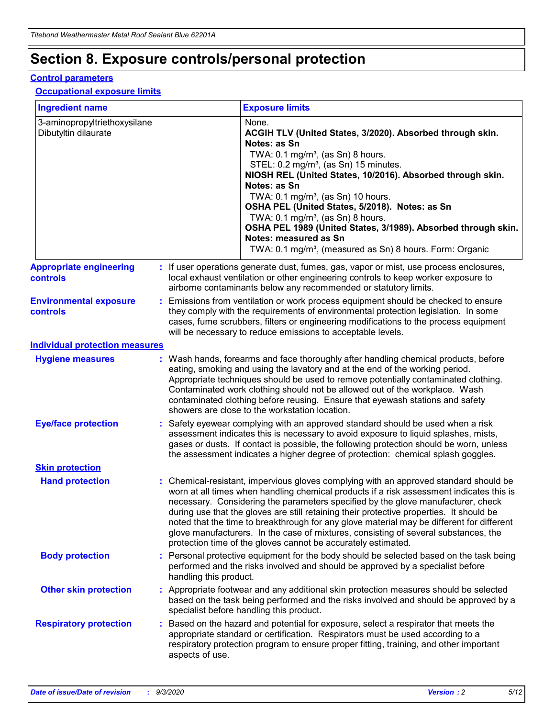# **Section 8. Exposure controls/personal protection**

#### **Control parameters**

#### **Occupational exposure limits**

| <b>Ingredient name</b>                               |    |                        | <b>Exposure limits</b>                                                                                                                                                                                                                                                                                                                                                                                                                                                                                                                                                                                                 |
|------------------------------------------------------|----|------------------------|------------------------------------------------------------------------------------------------------------------------------------------------------------------------------------------------------------------------------------------------------------------------------------------------------------------------------------------------------------------------------------------------------------------------------------------------------------------------------------------------------------------------------------------------------------------------------------------------------------------------|
| 3-aminopropyltriethoxysilane<br>Dibutyltin dilaurate |    |                        | None.<br>ACGIH TLV (United States, 3/2020). Absorbed through skin.<br>Notes: as Sn<br>TWA: $0.1 \text{ mg/m}^3$ , (as Sn) 8 hours.<br>STEL: 0.2 mg/m <sup>3</sup> , (as Sn) 15 minutes.<br>NIOSH REL (United States, 10/2016). Absorbed through skin.<br>Notes: as Sn<br>TWA: 0.1 mg/m <sup>3</sup> , (as Sn) 10 hours.<br>OSHA PEL (United States, 5/2018). Notes: as Sn<br>TWA: $0.1 \text{ mg/m}^3$ , (as Sn) 8 hours.<br>OSHA PEL 1989 (United States, 3/1989). Absorbed through skin.<br>Notes: measured as Sn<br>TWA: 0.1 mg/m <sup>3</sup> , (measured as Sn) 8 hours. Form: Organic                            |
| <b>Appropriate engineering</b><br>controls           |    |                        | : If user operations generate dust, fumes, gas, vapor or mist, use process enclosures,<br>local exhaust ventilation or other engineering controls to keep worker exposure to<br>airborne contaminants below any recommended or statutory limits.                                                                                                                                                                                                                                                                                                                                                                       |
| <b>Environmental exposure</b><br>controls            |    |                        | Emissions from ventilation or work process equipment should be checked to ensure<br>they comply with the requirements of environmental protection legislation. In some<br>cases, fume scrubbers, filters or engineering modifications to the process equipment<br>will be necessary to reduce emissions to acceptable levels.                                                                                                                                                                                                                                                                                          |
| <b>Individual protection measures</b>                |    |                        |                                                                                                                                                                                                                                                                                                                                                                                                                                                                                                                                                                                                                        |
| <b>Hygiene measures</b>                              |    |                        | : Wash hands, forearms and face thoroughly after handling chemical products, before<br>eating, smoking and using the lavatory and at the end of the working period.<br>Appropriate techniques should be used to remove potentially contaminated clothing.<br>Contaminated work clothing should not be allowed out of the workplace. Wash<br>contaminated clothing before reusing. Ensure that eyewash stations and safety<br>showers are close to the workstation location.                                                                                                                                            |
| <b>Eye/face protection</b>                           |    |                        | : Safety eyewear complying with an approved standard should be used when a risk<br>assessment indicates this is necessary to avoid exposure to liquid splashes, mists,<br>gases or dusts. If contact is possible, the following protection should be worn, unless<br>the assessment indicates a higher degree of protection: chemical splash goggles.                                                                                                                                                                                                                                                                  |
| <b>Skin protection</b>                               |    |                        |                                                                                                                                                                                                                                                                                                                                                                                                                                                                                                                                                                                                                        |
| <b>Hand protection</b>                               |    |                        | : Chemical-resistant, impervious gloves complying with an approved standard should be<br>worn at all times when handling chemical products if a risk assessment indicates this is<br>necessary. Considering the parameters specified by the glove manufacturer, check<br>during use that the gloves are still retaining their protective properties. It should be<br>noted that the time to breakthrough for any glove material may be different for different<br>glove manufacturers. In the case of mixtures, consisting of several substances, the<br>protection time of the gloves cannot be accurately estimated. |
| <b>Body protection</b>                               |    | handling this product. | Personal protective equipment for the body should be selected based on the task being<br>performed and the risks involved and should be approved by a specialist before                                                                                                                                                                                                                                                                                                                                                                                                                                                |
| <b>Other skin protection</b>                         |    |                        | : Appropriate footwear and any additional skin protection measures should be selected<br>based on the task being performed and the risks involved and should be approved by a<br>specialist before handling this product.                                                                                                                                                                                                                                                                                                                                                                                              |
| <b>Respiratory protection</b>                        | ÷. | aspects of use.        | Based on the hazard and potential for exposure, select a respirator that meets the<br>appropriate standard or certification. Respirators must be used according to a<br>respiratory protection program to ensure proper fitting, training, and other important                                                                                                                                                                                                                                                                                                                                                         |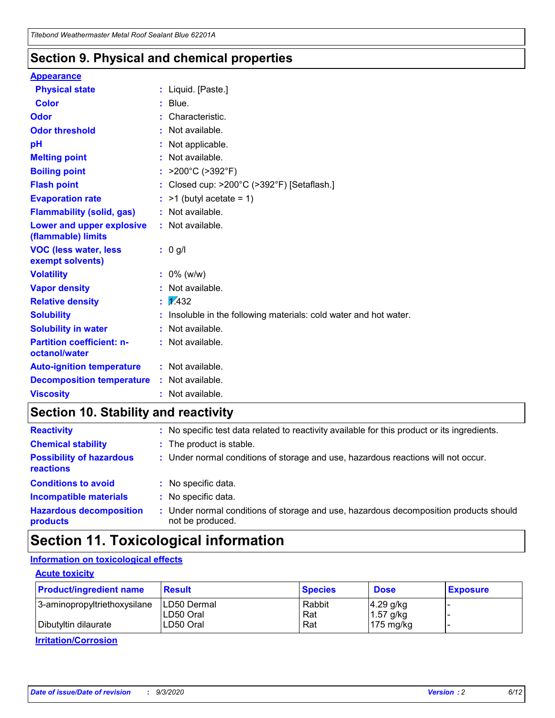### **Section 9. Physical and chemical properties**

#### **Appearance**

| <b>Physical state</b>                             | : Liquid. [Paste.]                                              |
|---------------------------------------------------|-----------------------------------------------------------------|
| <b>Color</b>                                      | Blue.                                                           |
| Odor                                              | Characteristic.                                                 |
| <b>Odor threshold</b>                             | Not available.                                                  |
| pH                                                | Not applicable.                                                 |
| <b>Melting point</b>                              | : Not available.                                                |
| <b>Boiling point</b>                              | >200°C (>392°F)                                                 |
| <b>Flash point</b>                                | Closed cup: >200°C (>392°F) [Setaflash.]                        |
| <b>Evaporation rate</b>                           | $:$ >1 (butyl acetate = 1)                                      |
| <b>Flammability (solid, gas)</b>                  | : Not available.                                                |
| Lower and upper explosive<br>(flammable) limits   | $:$ Not available.                                              |
| <b>VOC (less water, less</b><br>exempt solvents)  | : 0 g/l                                                         |
| <b>Volatility</b>                                 | $: 0\%$ (w/w)                                                   |
| <b>Vapor density</b>                              | Not available.                                                  |
| <b>Relative density</b>                           | $\frac{1}{2}$ 2.432                                             |
| <b>Solubility</b>                                 | Insoluble in the following materials: cold water and hot water. |
| <b>Solubility in water</b>                        | Not available.                                                  |
| <b>Partition coefficient: n-</b><br>octanol/water | : Not available.                                                |
| <b>Auto-ignition temperature</b>                  | : Not available.                                                |
| <b>Decomposition temperature</b>                  | $:$ Not available.                                              |
| <b>Viscosity</b>                                  | $:$ Not available.                                              |

### **Section 10. Stability and reactivity**

| <b>Reactivity</b>                            | : No specific test data related to reactivity available for this product or its ingredients.            |
|----------------------------------------------|---------------------------------------------------------------------------------------------------------|
| <b>Chemical stability</b>                    | : The product is stable.                                                                                |
| <b>Possibility of hazardous</b><br>reactions | : Under normal conditions of storage and use, hazardous reactions will not occur.                       |
| <b>Conditions to avoid</b>                   | : No specific data.                                                                                     |
| <b>Incompatible materials</b>                | : No specific data.                                                                                     |
| <b>Hazardous decomposition</b><br>products   | Under normal conditions of storage and use, hazardous decomposition products should<br>not be produced. |

### **Section 11. Toxicological information**

#### **Information on toxicological effects**

#### **Acute toxicity**

| <b>Product/ingredient name</b> | <b>Result</b>           | <b>Species</b> | <b>Dose</b>                | <b>Exposure</b> |
|--------------------------------|-------------------------|----------------|----------------------------|-----------------|
| 3-aminopropyltriethoxysilane   | <b>ILD50 Dermal</b>     | Rabbit         | 4.29 g/kg                  |                 |
| Dibutyltin dilaurate           | ILD50 Oral<br>LD50 Oral | Rat<br>Rat     | $1.57$ g/kg<br>175 $mg/kg$ |                 |
|                                |                         |                |                            |                 |

**Irritation/Corrosion**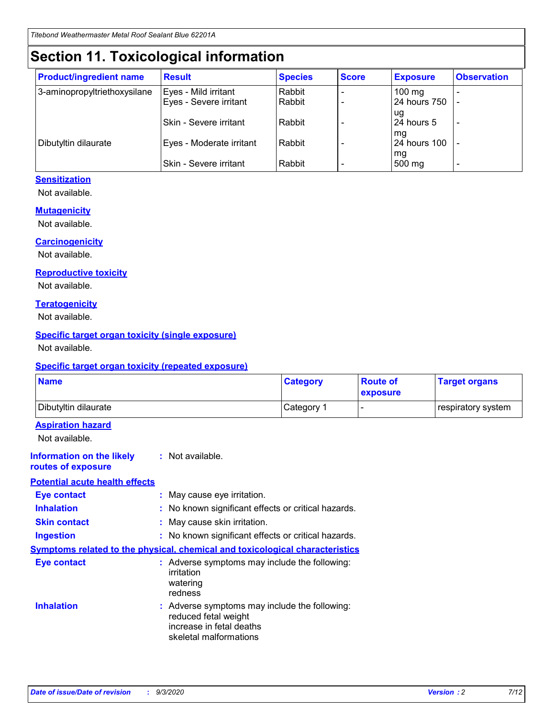# **Section 11. Toxicological information**

| <b>Product/ingredient name</b> | <b>Result</b>                 | <b>Species</b> | <b>Score</b> | <b>Exposure</b>    | <b>Observation</b> |
|--------------------------------|-------------------------------|----------------|--------------|--------------------|--------------------|
| 3-aminopropyltriethoxysilane   | Eyes - Mild irritant          | Rabbit         |              | $100 \text{ mg}$   |                    |
|                                | Eyes - Severe irritant        | Rabbit         |              | 24 hours 750       |                    |
|                                |                               |                |              | ug                 |                    |
|                                | <b>Skin - Severe irritant</b> | Rabbit         |              | 24 hours 5         | -                  |
| Dibutyltin dilaurate           | Eyes - Moderate irritant      | Rabbit         |              | mq<br>24 hours 100 |                    |
|                                |                               |                |              | mg                 |                    |
|                                | Skin - Severe irritant        | Rabbit         |              | 500 mg             |                    |

#### **Sensitization**

Not available.

#### **Mutagenicity**

Not available.

#### **Carcinogenicity**

Not available.

#### **Reproductive toxicity**

Not available.

#### **Teratogenicity**

Not available.

#### **Specific target organ toxicity (single exposure)**

Not available.

#### **Specific target organ toxicity (repeated exposure)**

| <b>Name</b>                                                                  |                                                                            | <b>Category</b>                                     | <b>Route of</b><br>exposure | <b>Target organs</b> |  |
|------------------------------------------------------------------------------|----------------------------------------------------------------------------|-----------------------------------------------------|-----------------------------|----------------------|--|
| Dibutyltin dilaurate                                                         |                                                                            | Category 1                                          |                             | respiratory system   |  |
| <b>Aspiration hazard</b><br>Not available.                                   |                                                                            |                                                     |                             |                      |  |
| <b>Information on the likely</b><br>routes of exposure                       | : Not available.                                                           |                                                     |                             |                      |  |
| <b>Potential acute health effects</b>                                        |                                                                            |                                                     |                             |                      |  |
| <b>Eye contact</b>                                                           | : May cause eye irritation.                                                |                                                     |                             |                      |  |
| <b>Inhalation</b>                                                            |                                                                            | : No known significant effects or critical hazards. |                             |                      |  |
| <b>Skin contact</b>                                                          |                                                                            | : May cause skin irritation.                        |                             |                      |  |
| <b>Ingestion</b>                                                             |                                                                            | : No known significant effects or critical hazards. |                             |                      |  |
| Symptoms related to the physical, chemical and toxicological characteristics |                                                                            |                                                     |                             |                      |  |
| <b>Eye contact</b>                                                           | irritation<br>watering<br>redness                                          | : Adverse symptoms may include the following:       |                             |                      |  |
| <b>Inhalation</b>                                                            | reduced fetal weight<br>increase in fetal deaths<br>skeletal malformations | : Adverse symptoms may include the following:       |                             |                      |  |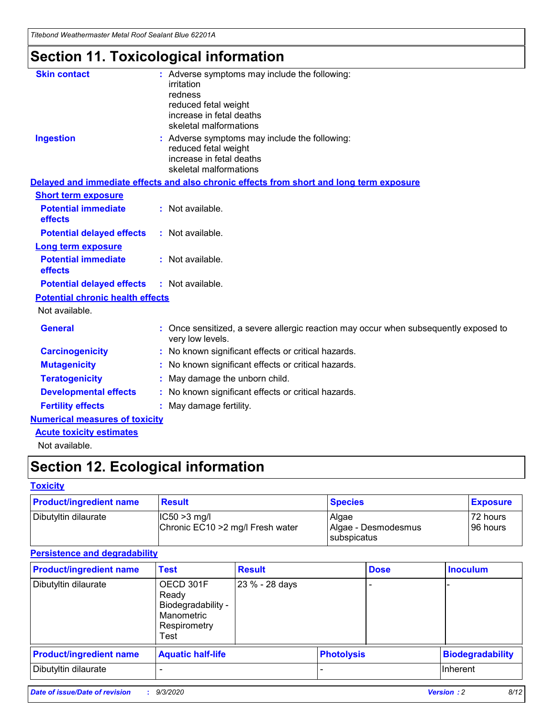*Titebond Weathermaster Metal Roof Sealant Blue 62201A*

# **Section 11. Toxicological information**

| <b>Skin contact</b>                     | irritation<br>redness<br>reduced fetal weight<br>increase in fetal deaths<br>skeletal malformations                         | : Adverse symptoms may include the following:                                            |  |  |  |
|-----------------------------------------|-----------------------------------------------------------------------------------------------------------------------------|------------------------------------------------------------------------------------------|--|--|--|
| <b>Ingestion</b>                        | : Adverse symptoms may include the following:<br>reduced fetal weight<br>increase in fetal deaths<br>skeletal malformations |                                                                                          |  |  |  |
|                                         |                                                                                                                             | Delayed and immediate effects and also chronic effects from short and long term exposure |  |  |  |
| <b>Short term exposure</b>              |                                                                                                                             |                                                                                          |  |  |  |
| <b>Potential immediate</b><br>effects   | : Not available.                                                                                                            |                                                                                          |  |  |  |
| <b>Potential delayed effects</b>        | : Not available.                                                                                                            |                                                                                          |  |  |  |
| <b>Long term exposure</b>               |                                                                                                                             |                                                                                          |  |  |  |
| <b>Potential immediate</b><br>effects   | : Not available.                                                                                                            |                                                                                          |  |  |  |
| <b>Potential delayed effects</b>        | : Not available.                                                                                                            |                                                                                          |  |  |  |
| <b>Potential chronic health effects</b> |                                                                                                                             |                                                                                          |  |  |  |
| Not available.                          |                                                                                                                             |                                                                                          |  |  |  |
| <b>General</b>                          | very low levels.                                                                                                            | : Once sensitized, a severe allergic reaction may occur when subsequently exposed to     |  |  |  |
| <b>Carcinogenicity</b>                  |                                                                                                                             | : No known significant effects or critical hazards.                                      |  |  |  |
| <b>Mutagenicity</b>                     |                                                                                                                             | No known significant effects or critical hazards.                                        |  |  |  |
| <b>Teratogenicity</b>                   |                                                                                                                             | May damage the unborn child.                                                             |  |  |  |
| <b>Developmental effects</b>            |                                                                                                                             | : No known significant effects or critical hazards.                                      |  |  |  |
| <b>Fertility effects</b>                | May damage fertility.                                                                                                       |                                                                                          |  |  |  |
| <b>Numerical measures of toxicity</b>   |                                                                                                                             |                                                                                          |  |  |  |
| <b>Acute toxicity estimates</b>         |                                                                                                                             |                                                                                          |  |  |  |
| Not available.                          |                                                                                                                             |                                                                                          |  |  |  |

# **Section 12. Ecological information**

#### **Toxicity**

| <b>Product/ingredient name</b> | <b>Result</b>                                       | <b>Species</b>               | <b>Exposure</b>       |
|--------------------------------|-----------------------------------------------------|------------------------------|-----------------------|
| Dibutyltin dilaurate           | $ IC50>3$ mg/l<br>Chronic EC10 > 2 mg/l Fresh water | Algae<br>Algae - Desmodesmus | 72 hours<br>196 hours |
|                                |                                                     | subspicatus                  |                       |

#### **Persistence and degradability**

| <b>Product/ingredient name</b> | <b>Test</b>                                                                    | <b>Result</b>  |  | <b>Dose</b>       | <b>Inoculum</b>         |
|--------------------------------|--------------------------------------------------------------------------------|----------------|--|-------------------|-------------------------|
| Dibutyltin dilaurate           | OECD 301F<br>Ready<br>Biodegradability -<br>Manometric<br>Respirometry<br>Test | 23 % - 28 days |  |                   |                         |
| <b>Product/ingredient name</b> | <b>Aquatic half-life</b>                                                       |                |  | <b>Photolysis</b> | <b>Biodegradability</b> |
| Dibutyltin dilaurate           |                                                                                |                |  |                   | <b>Inherent</b>         |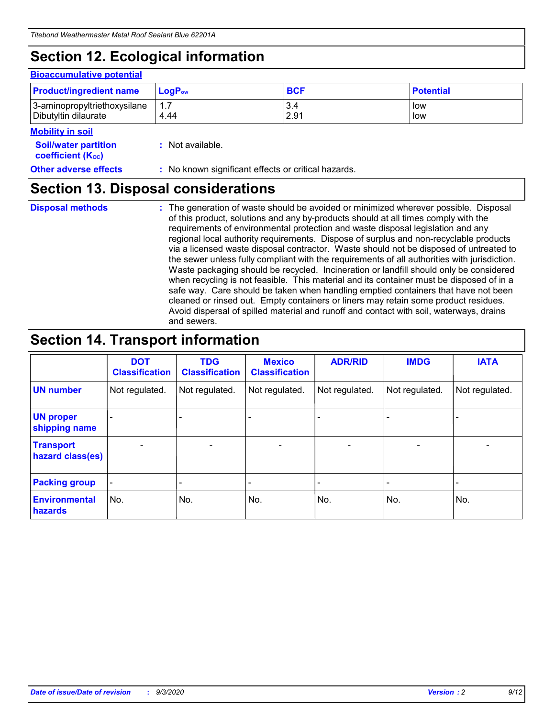# **Section 12. Ecological information**

#### **Bioaccumulative potential**

| <b>Product/ingredient name</b> | $\mathsf{LogP}_\mathsf{ow}$ | <b>BCF</b> | <b>Potential</b> |
|--------------------------------|-----------------------------|------------|------------------|
| 3-aminopropyltriethoxysilane   | 1.7                         | 3.4        | low              |
| Dibutyltin dilaurate           | 4.44                        | 2.91       | low              |

#### **Mobility in soil**

| IVIUWIIILY III JUII                                     |                                                     |
|---------------------------------------------------------|-----------------------------------------------------|
| <b>Soil/water partition</b><br><b>coefficient (Koc)</b> | : Not available.                                    |
| <b>Other adverse effects</b>                            | : No known significant effects or critical hazards. |

### **Section 13. Disposal considerations**

**Disposal methods :**

The generation of waste should be avoided or minimized wherever possible. Disposal of this product, solutions and any by-products should at all times comply with the requirements of environmental protection and waste disposal legislation and any regional local authority requirements. Dispose of surplus and non-recyclable products via a licensed waste disposal contractor. Waste should not be disposed of untreated to the sewer unless fully compliant with the requirements of all authorities with jurisdiction. Waste packaging should be recycled. Incineration or landfill should only be considered when recycling is not feasible. This material and its container must be disposed of in a safe way. Care should be taken when handling emptied containers that have not been cleaned or rinsed out. Empty containers or liners may retain some product residues. Avoid dispersal of spilled material and runoff and contact with soil, waterways, drains and sewers.

### **Section 14. Transport information**

|                                      | <b>DOT</b><br><b>Classification</b> | <b>TDG</b><br><b>Classification</b> | <b>Mexico</b><br><b>Classification</b> | <b>ADR/RID</b>           | <b>IMDG</b>              | <b>IATA</b>    |
|--------------------------------------|-------------------------------------|-------------------------------------|----------------------------------------|--------------------------|--------------------------|----------------|
| <b>UN number</b>                     | Not regulated.                      | Not regulated.                      | Not regulated.                         | Not regulated.           | Not regulated.           | Not regulated. |
| <b>UN proper</b><br>shipping name    |                                     |                                     |                                        |                          |                          |                |
| <b>Transport</b><br>hazard class(es) |                                     | $\overline{\phantom{0}}$            | $\qquad \qquad \blacksquare$           | $\overline{\phantom{0}}$ | $\overline{\phantom{0}}$ |                |
| <b>Packing group</b>                 |                                     |                                     |                                        |                          |                          |                |
| <b>Environmental</b><br>hazards      | No.                                 | No.                                 | No.                                    | No.                      | No.                      | No.            |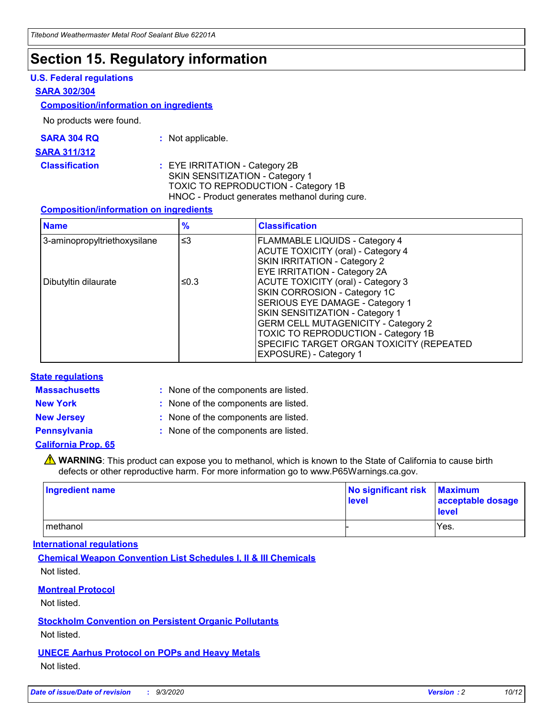### **Section 15. Regulatory information**

#### **U.S. Federal regulations**

#### **SARA 302/304**

#### **Composition/information on ingredients**

No products were found.

| SARA 304 RQ | Not applicable. |
|-------------|-----------------|
|             |                 |

#### **SARA 311/312**

**Classification :** EYE IRRITATION - Category 2B SKIN SENSITIZATION - Category 1 TOXIC TO REPRODUCTION - Category 1B HNOC - Product generates methanol during cure.

#### **Composition/information on ingredients**

| <b>Name</b>                  | $\frac{9}{6}$ | <b>Classification</b>                                                                                                                                                                                                                                                                                      |
|------------------------------|---------------|------------------------------------------------------------------------------------------------------------------------------------------------------------------------------------------------------------------------------------------------------------------------------------------------------------|
| 3-aminopropyltriethoxysilane | $\leq$ 3      | <b>FLAMMABLE LIQUIDS - Category 4</b><br><b>ACUTE TOXICITY (oral) - Category 4</b><br><b>SKIN IRRITATION - Category 2</b><br>EYE IRRITATION - Category 2A                                                                                                                                                  |
| Dibutyltin dilaurate         | ≤0.3          | <b>ACUTE TOXICITY (oral) - Category 3</b><br>SKIN CORROSION - Category 1C<br>SERIOUS EYE DAMAGE - Category 1<br>SKIN SENSITIZATION - Category 1<br><b>GERM CELL MUTAGENICITY - Category 2</b><br>TOXIC TO REPRODUCTION - Category 1B<br>SPECIFIC TARGET ORGAN TOXICITY (REPEATED<br>EXPOSURE) - Category 1 |

#### **State regulations**

**Massachusetts :**

: None of the components are listed.

**New York :** None of the components are listed. **New Jersey :** None of the components are listed.

**Pennsylvania :** None of the components are listed.

#### **California Prop. 65**

WARNING: This product can expose you to methanol, which is known to the State of California to cause birth defects or other reproductive harm. For more information go to www.P65Warnings.ca.gov.

| Ingredient name | No significant risk<br>level | <b>Maximum</b><br>acceptable dosage<br><b>level</b> |
|-----------------|------------------------------|-----------------------------------------------------|
| l methanol      |                              | Yes.                                                |

#### **International regulations**

**Chemical Weapon Convention List Schedules I, II & III Chemicals** Not listed.

#### **Montreal Protocol**

Not listed.

**Stockholm Convention on Persistent Organic Pollutants**

Not listed.

#### **UNECE Aarhus Protocol on POPs and Heavy Metals** Not listed.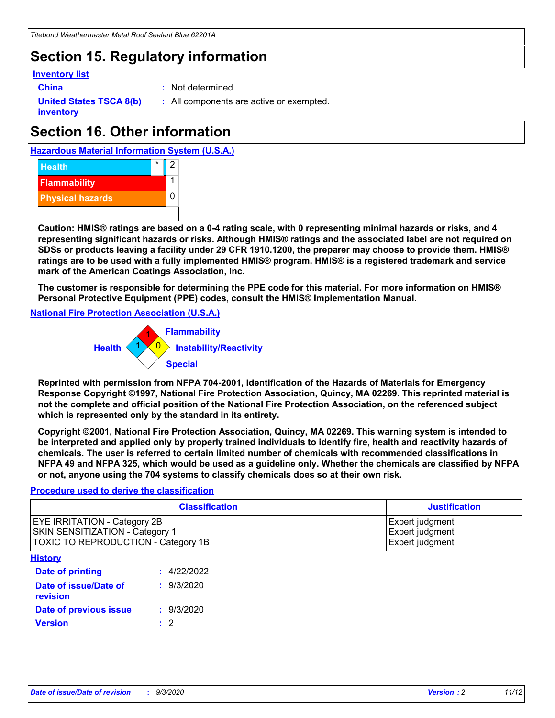### **Section 15. Regulatory information**

#### **Inventory list**

- 
- **China :** Not determined.

**United States TSCA 8(b) inventory**

**:** All components are active or exempted.

# **Section 16. Other information**





**Caution: HMIS® ratings are based on a 0-4 rating scale, with 0 representing minimal hazards or risks, and 4 representing significant hazards or risks. Although HMIS® ratings and the associated label are not required on SDSs or products leaving a facility under 29 CFR 1910.1200, the preparer may choose to provide them. HMIS® ratings are to be used with a fully implemented HMIS® program. HMIS® is a registered trademark and service mark of the American Coatings Association, Inc.**

**The customer is responsible for determining the PPE code for this material. For more information on HMIS® Personal Protective Equipment (PPE) codes, consult the HMIS® Implementation Manual.**

**National Fire Protection Association (U.S.A.)**



**Reprinted with permission from NFPA 704-2001, Identification of the Hazards of Materials for Emergency Response Copyright ©1997, National Fire Protection Association, Quincy, MA 02269. This reprinted material is not the complete and official position of the National Fire Protection Association, on the referenced subject which is represented only by the standard in its entirety.**

**Copyright ©2001, National Fire Protection Association, Quincy, MA 02269. This warning system is intended to be interpreted and applied only by properly trained individuals to identify fire, health and reactivity hazards of chemicals. The user is referred to certain limited number of chemicals with recommended classifications in NFPA 49 and NFPA 325, which would be used as a guideline only. Whether the chemicals are classified by NFPA or not, anyone using the 704 systems to classify chemicals does so at their own risk.**

#### **Procedure used to derive the classification**

| <b>Classification</b>                                                                                                | <b>Justification</b>                                  |
|----------------------------------------------------------------------------------------------------------------------|-------------------------------------------------------|
| <b>EYE IRRITATION - Category 2B</b><br><b>SKIN SENSITIZATION - Category 1</b><br>TOXIC TO REPRODUCTION - Category 1B | Expert judgment<br>Expert judgment<br>Expert judgment |
| <b>History</b>                                                                                                       |                                                       |

| <b>Date of printing</b>           | : 4/22/2022 |
|-----------------------------------|-------------|
| Date of issue/Date of<br>revision | : 9/3/2020  |
| Date of previous issue            | : 9/3/2020  |
| <b>Version</b>                    | $\cdot$ 2   |
|                                   |             |